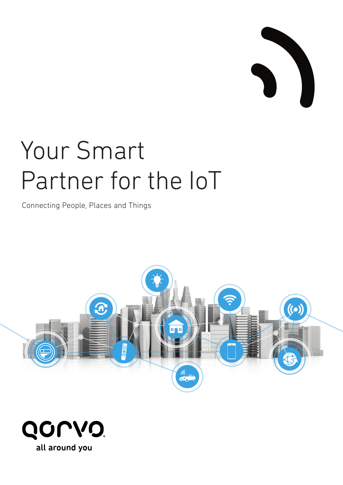

# Your Smart Partner for the IoT

Connecting People, Places and Things



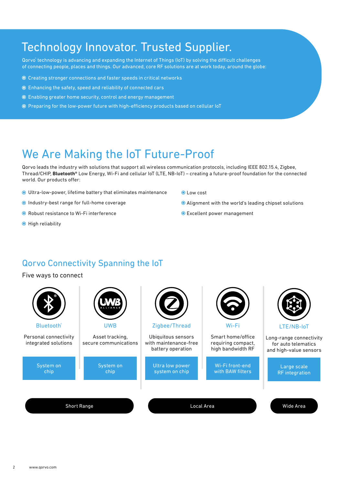## Technology Innovator. Trusted Supplier.

Qorvo® technology is advancing and expanding the Internet of Things (IoT) by solving the difficult challenges of connecting people, places and things. Our advanced, core RF solutions are at work today, around the globe:

- Creating stronger connections and faster speeds in critical networks
- Enhancing the safety, speed and reliability of connected cars
- Enabling greater home security, control and energy management
- Preparing for the low-power future with high-efficiency products based on cellular IoT

## We Are Making the IoT Future-Proof

Qorvo leads the industry with solutions that support all wireless communication protocols, including IEEE 802.15.4, Zigbee, Thread/CHIP, **Bluetooth®** Low Energy, Wi-Fi and cellular IoT (LTE, NB-IoT) – creating a future-proof foundation for the connected world. Our products offer:

- Ultra-low-power, lifetime battery that eliminates maintenance
- Industry-best range for full-home coverage
- Robust resistance to Wi-Fi interference
- $\odot$  High reliability
- Low cost
- Alignment with the world's leading chipset solutions
- Excellent power management

## Qorvo Connectivity Spanning the IoT

Five ways to connect

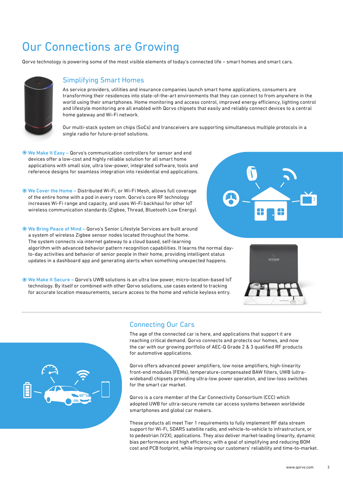# Our Connections are Growing

Qorvo technology is powering some of the most visible elements of today's connected life – smart homes and smart cars.



#### Simplifying Smart Homes

As service providers, utilities and insurance companies launch smart home applications, consumers are transforming their residences into state-of-the-art environments that they can connect to from anywhere in the world using their smartphones. Home monitoring and access control, improved energy efficiency, lighting control and lifestyle monitoring are all enabled with Qorvo chipsets that easily and reliably connect devices to a central home gateway and Wi-Fi network.

Our multi-stack system on chips (SoCs) and transceivers are supporting simultaneous multiple protocols in a single radio for future-proof solutions.

- We Make It Easy Qorvo's communication controllers for sensor and end devices offer a low-cost and highly reliable solution for all smart home applications with small size, ultra low-power, integrated software, tools and reference designs for seamless integration into residential end applications.
- We Cover the Home Distributed Wi-Fi, or Wi-Fi Mesh, allows full coverage of the entire home with a pod in every room. Qorvo's core RF technology increases Wi-Fi range and capacity, and uses Wi-Fi backhaul for other IoT wireless communication standards (Zigbee, Thread, Bluetooth Low Energy).
- We Bring Peace of Mind Qorvo's Senior Lifestyle Services are built around a system of wireless Zigbee sensor nodes located throughout the home. The system connects via internet gateway to a cloud based, self-learning algorithm with advanced behavior pattern recognition capabilities. It learns the normal dayto-day activities and behavior of senior people in their home, providing intelligent status updates in a dashboard app and generating alerts when something unexpected happens.
- We Make It Secure Qorvo's UWB solutions is an ultra low power, micro-location-based IoT technology. By itself or combined with other Qorvo solutions, use cases extend to tracking for accurate location measurements, secure access to the home and vehicle keyless entry.







#### Connecting Our Cars

The age of the connected car is here, and applications that support it are reaching critical demand. Qorvo connects and protects our homes, and now the car with our growing portfolio of AEC-Q Grade 2 & 3 qualified RF products for automotive applications.

Qorvo offers advanced power amplifiers, low noise amplifiers, high-linearity front-end modules (FEMs), temperature-compensated BAW filters, UWB (ultrawideband) chipsets providing ultra-low power operation, and low-loss switches for the smart car market.

Qorvo is a core member of the Car Connectivity Consortium (CCC) which adopted UWB for ultra-secure remote car access systems between worldwide smartphones and global car makers.

These products all meet Tier 1 requirements to fully implement RF data stream support for Wi-Fi, SDARS satellite radio, and vehicle-to-vehicle to infrastructure, or to pedestrian (V2X), applications. They also deliver market-leading linearity, dynamic bias performance and high efficiency, with a goal of simplifying and reducing BOM cost and PCB footprint, while improving our customers' reliability and time-to-market.